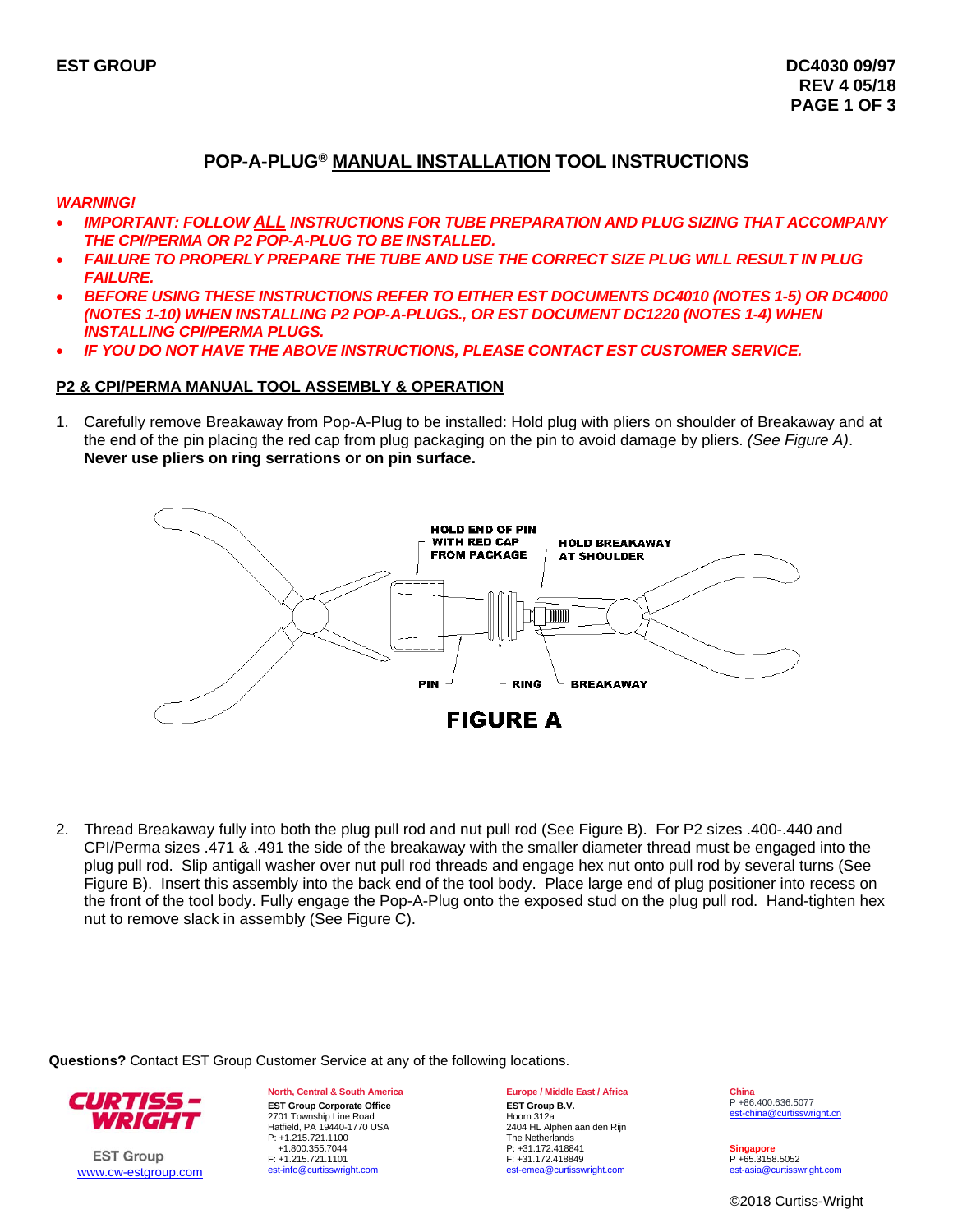# **POP-A-PLUG® MANUAL INSTALLATION TOOL INSTRUCTIONS**

*WARNING!* 

- *IMPORTANT: FOLLOW ALL INSTRUCTIONS FOR TUBE PREPARATION AND PLUG SIZING THAT ACCOMPANY THE CPI/PERMA OR P2 POP-A-PLUG TO BE INSTALLED.*
- *FAILURE TO PROPERLY PREPARE THE TUBE AND USE THE CORRECT SIZE PLUG WILL RESULT IN PLUG FAILURE.*
- *BEFORE USING THESE INSTRUCTIONS REFER TO EITHER EST DOCUMENTS DC4010 (NOTES 1-5) OR DC4000 (NOTES 1-10) WHEN INSTALLING P2 POP-A-PLUGS., OR EST DOCUMENT DC1220 (NOTES 1-4) WHEN INSTALLING CPI/PERMA PLUGS.*
- *IF YOU DO NOT HAVE THE ABOVE INSTRUCTIONS, PLEASE CONTACT EST CUSTOMER SERVICE.*

# **P2 & CPI/PERMA MANUAL TOOL ASSEMBLY & OPERATION**

1. Carefully remove Breakaway from Pop-A-Plug to be installed: Hold plug with pliers on shoulder of Breakaway and at the end of the pin placing the red cap from plug packaging on the pin to avoid damage by pliers. *(See Figure A)*. **Never use pliers on ring serrations or on pin surface.** 



2. Thread Breakaway fully into both the plug pull rod and nut pull rod (See Figure B). For P2 sizes .400-.440 and CPI/Perma sizes .471 & .491 the side of the breakaway with the smaller diameter thread must be engaged into the plug pull rod. Slip antigall washer over nut pull rod threads and engage hex nut onto pull rod by several turns (See Figure B). Insert this assembly into the back end of the tool body. Place large end of plug positioner into recess on the front of the tool body. Fully engage the Pop-A-Plug onto the exposed stud on the plug pull rod. Hand-tighten hex nut to remove slack in assembly (See Figure C).

**Questions?** Contact EST Group Customer Service at any of the following locations.



**EST Group** www.cw-estgroup.com **North, Central & South America EST Group Corporate Office**  2701 Township Line Road Hatfield, PA 19440-1770 USA P: +1.215.721.1100 +1.800.355.7044 F: +1.215.721.1101<br>est-info@curtisswright.com est-info@curtis

## **Europe / Middle East / Africa**

**EST Group B.V.** Hoorn 312a 2404 HL Alphen aan den Rijn The Netherlands P: +31.172.418841 F: +31.172.418849 emea@curtisswright.com

**China** P +86.400.636.5077 est-china@curtisswright.cn

**Singapore** P +65.3158.5052 est-asia@curtisswright.com

©2018 Curtiss-Wright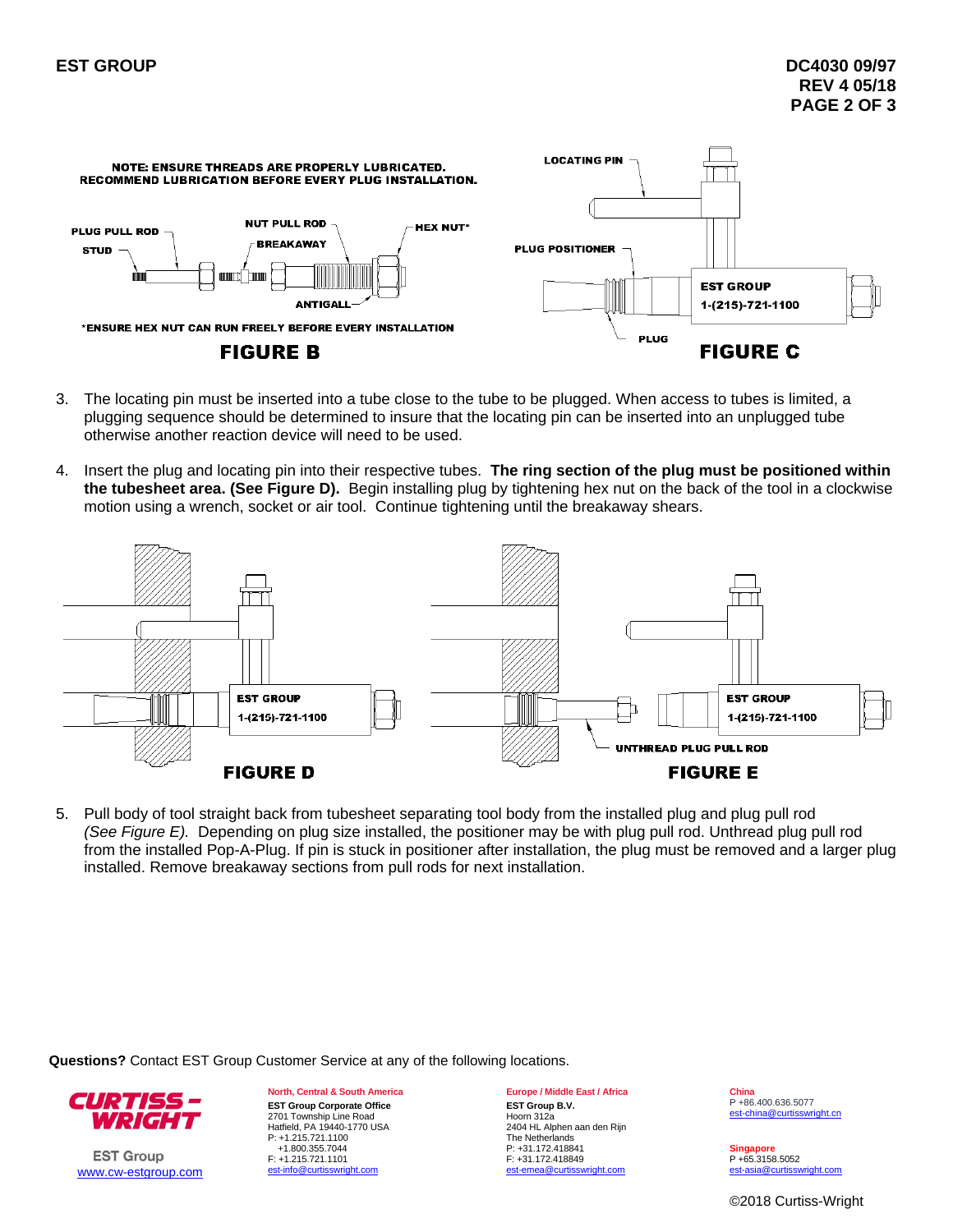

- 3. The locating pin must be inserted into a tube close to the tube to be plugged. When access to tubes is limited, a plugging sequence should be determined to insure that the locating pin can be inserted into an unplugged tube otherwise another reaction device will need to be used.
- 4. Insert the plug and locating pin into their respective tubes. **The ring section of the plug must be positioned within the tubesheet area. (See Figure D).** Begin installing plug by tightening hex nut on the back of the tool in a clockwise motion using a wrench, socket or air tool. Continue tightening until the breakaway shears.



5. Pull body of tool straight back from tubesheet separating tool body from the installed plug and plug pull rod *(See Figure E).* Depending on plug size installed, the positioner may be with plug pull rod. Unthread plug pull rod from the installed Pop-A-Plug. If pin is stuck in positioner after installation, the plug must be removed and a larger plug installed. Remove breakaway sections from pull rods for next installation.

**Questions?** Contact EST Group Customer Service at any of the following locations.



**EST Group** www.cw-estgroup.com **North, Central & South America EST Group Corporate Office**  2701 Township Line Road Hatfield, PA 19440-1770 USA P: +1.215.721.1100 +1.800.355.7044 F: +1.215.721.1101<br>est-info@curtisswright.com est-info@curtis

### **Europe / Middle East / Africa**

**EST Group B.V.** Hoorn 312a 2404 HL Alphen aan den Rijn The Netherlands P: +31.172.418841 F: +31.172.418849 emea@curtisswright.com

**China** P +86.400.636.5077 est-china@curtisswright.cn

**Singapore** P +65.3158.5052 est-asia@curtisswright.com

©2018 Curtiss-Wright